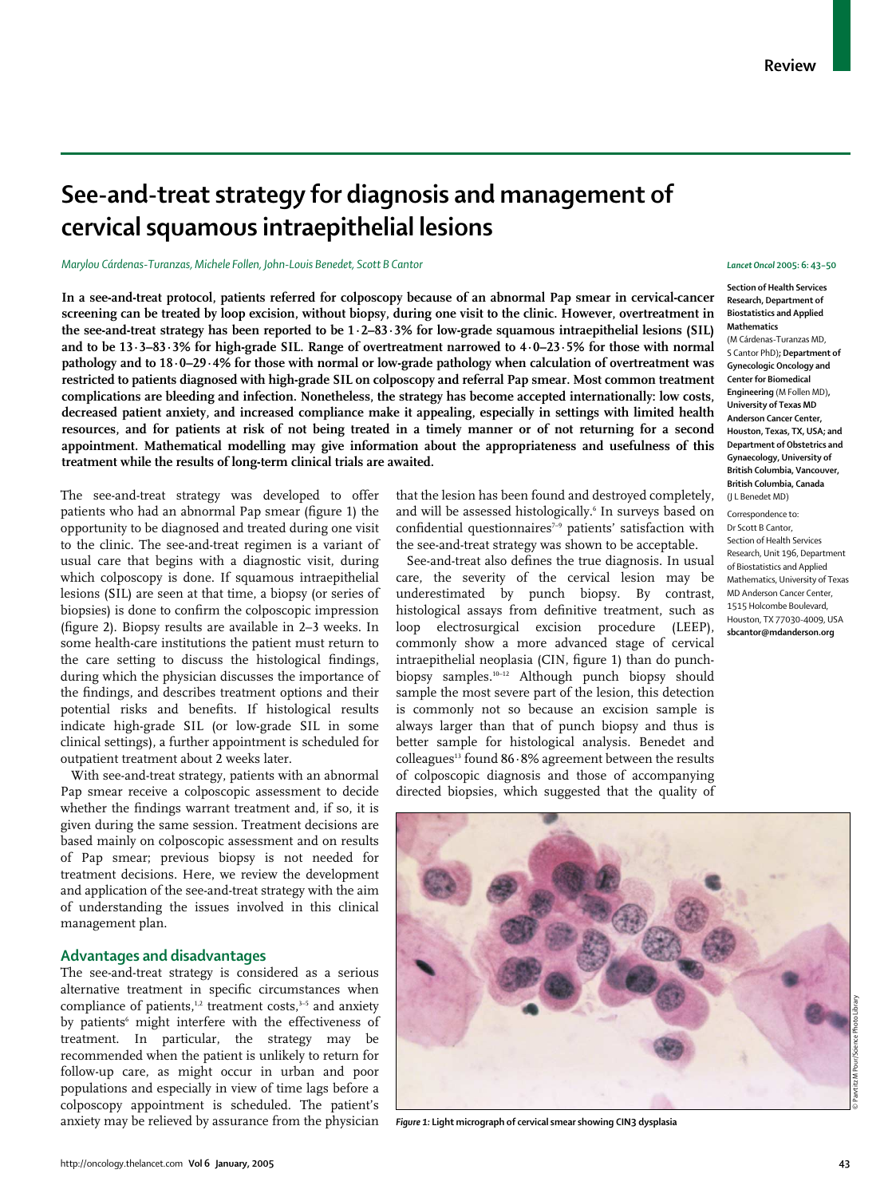# **See-and-treat strategy for diagnosis and management of cervical squamous intraepithelial lesions**

*Marylou Cárdenas-Turanzas, Michele Follen, John-Louis Benedet, Scott B Cantor*

**In a see-and-treat protocol, patients referred for colposcopy because of an abnormal Pap smear in cervical-cancer screening can be treated by loop excision, without biopsy, during one visit to the clinic. However, overtreatment in the see-and-treat strategy has been reported to be 1·2–83·3% for low-grade squamous intraepithelial lesions (SIL) and to be 13·3–83·3% for high-grade SIL. Range of overtreatment narrowed to 4·0–23·5% for those with normal pathology and to 18·0–29·4% for those with normal or low-grade pathology when calculation of overtreatment was restricted to patients diagnosed with high-grade SIL on colposcopy and referral Pap smear. Most common treatment complications are bleeding and infection. Nonetheless, the strategy has become accepted internationally: low costs, decreased patient anxiety, and increased compliance make it appealing, especially in settings with limited health resources, and for patients at risk of not being treated in a timely manner or of not returning for a second appointment. Mathematical modelling may give information about the appropriateness and usefulness of this treatment while the results of long-term clinical trials are awaited.**

The see-and-treat strategy was developed to offer patients who had an abnormal Pap smear (figure 1) the opportunity to be diagnosed and treated during one visit to the clinic. The see-and-treat regimen is a variant of usual care that begins with a diagnostic visit, during which colposcopy is done. If squamous intraepithelial lesions (SIL) are seen at that time, a biopsy (or series of biopsies) is done to confirm the colposcopic impression (figure 2). Biopsy results are available in 2–3 weeks. In some health-care institutions the patient must return to the care setting to discuss the histological findings, during which the physician discusses the importance of the findings, and describes treatment options and their potential risks and benefits. If histological results indicate high-grade SIL (or low-grade SIL in some clinical settings), a further appointment is scheduled for outpatient treatment about 2 weeks later.

With see-and-treat strategy, patients with an abnormal Pap smear receive a colposcopic assessment to decide whether the findings warrant treatment and, if so, it is given during the same session. Treatment decisions are based mainly on colposcopic assessment and on results of Pap smear; previous biopsy is not needed for treatment decisions. Here, we review the development and application of the see-and-treat strategy with the aim of understanding the issues involved in this clinical management plan.

# **Advantages and disadvantages**

The see-and-treat strategy is considered as a serious alternative treatment in specific circumstances when compliance of patients,<sup>1,2</sup> treatment costs,<sup>3-5</sup> and anxiety by patients<sup>6</sup> might interfere with the effectiveness of treatment. In particular, the strategy may be recommended when the patient is unlikely to return for follow-up care, as might occur in urban and poor populations and especially in view of time lags before a colposcopy appointment is scheduled. The patient's anxiety may be relieved by assurance from the physician

that the lesion has been found and destroyed completely, and will be assessed histologically.<sup>6</sup> In surveys based on confidential questionnaires<sup>7-9</sup> patients' satisfaction with the see-and-treat strategy was shown to be acceptable.

See-and-treat also defines the true diagnosis. In usual care, the severity of the cervical lesion may be underestimated by punch biopsy. By contrast, histological assays from definitive treatment, such as loop electrosurgical excision procedure (LEEP), commonly show a more advanced stage of cervical intraepithelial neoplasia (CIN, figure 1) than do punchbiopsy samples.10–12 Although punch biopsy should sample the most severe part of the lesion, this detection is commonly not so because an excision sample is always larger than that of punch biopsy and thus is better sample for histological analysis. Benedet and colleagues<sup>13</sup> found 86.8% agreement between the results of colposcopic diagnosis and those of accompanying directed biopsies, which suggested that the quality of

#### *Lancet Oncol* **2005: 6: 43–50**

**Section of Health Services Research, Department of Biostatistics and Applied Mathematics** (M Cárdenas-Turanzas MD, S Cantor PhD)**; Department of Gynecologic Oncology and Center for Biomedical Engineering** (M Follen MD)**,**

**University of Texas MD Anderson Cancer Center, Houston, Texas, TX, USA; and Department of Obstetrics and Gynaecology, University of British Columbia, Vancouver, British Columbia, Canada**  (J L Benedet MD)

Correspondence to: Dr Scott B Cantor, Section of Health Services Research, Unit 196, Department of Biostatistics and Applied Mathematics, University of Texas MD Anderson Cancer Center, 1515 Holcombe Boulevard, Houston, TX 77030-4009, USA **sbcantor@mdanderson.org** 

*Figure 1:* **Light micrograph of cervical smear showing CIN3 dysplasia**

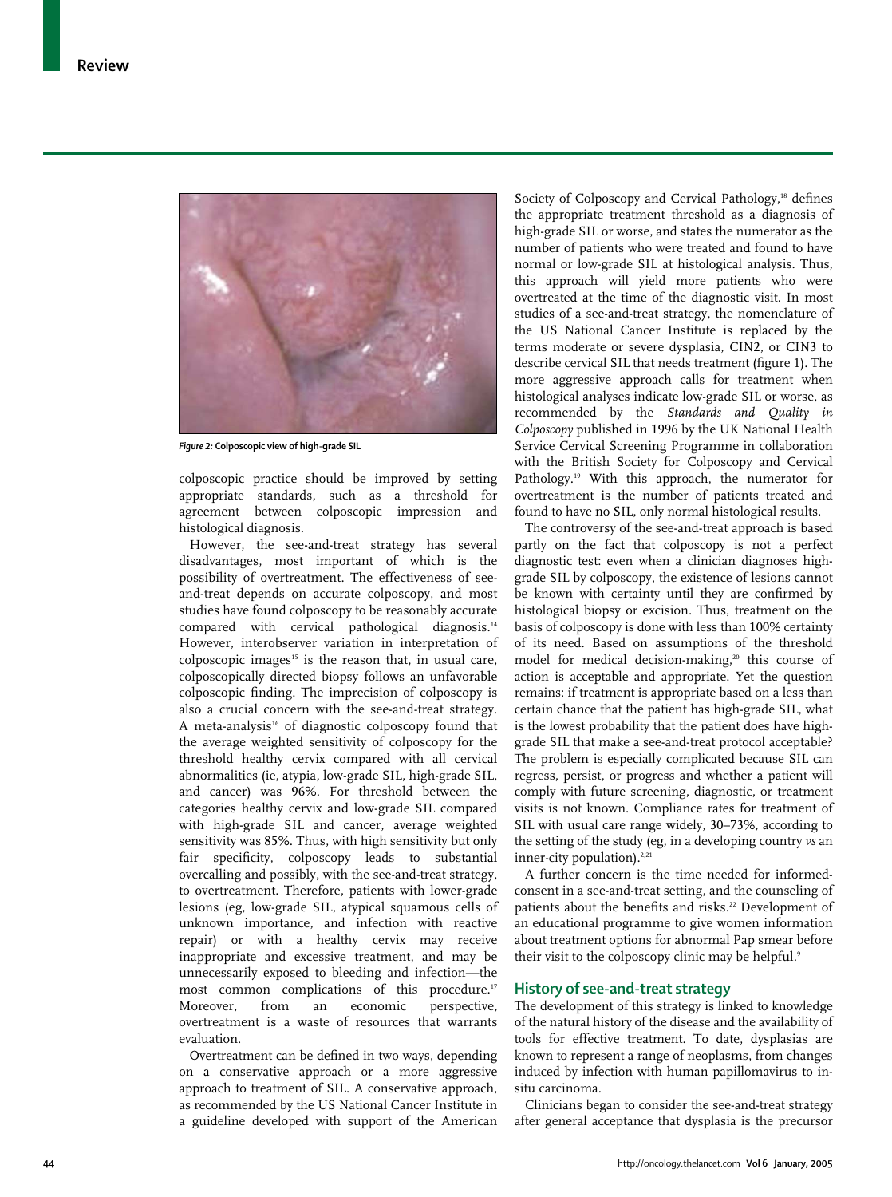

*Figure 2:* **Colposcopic view of high-grade SIL**

colposcopic practice should be improved by setting appropriate standards, such as a threshold for agreement between colposcopic impression and histological diagnosis.

However, the see-and-treat strategy has several disadvantages, most important of which is the possibility of overtreatment. The effectiveness of seeand-treat depends on accurate colposcopy, and most studies have found colposcopy to be reasonably accurate compared with cervical pathological diagnosis.14 However, interobserver variation in interpretation of colposcopic images<sup>15</sup> is the reason that, in usual care, colposcopically directed biopsy follows an unfavorable colposcopic finding. The imprecision of colposcopy is also a crucial concern with the see-and-treat strategy. A meta-analysis<sup>16</sup> of diagnostic colposcopy found that the average weighted sensitivity of colposcopy for the threshold healthy cervix compared with all cervical abnormalities (ie, atypia, low-grade SIL, high-grade SIL, and cancer) was 96%. For threshold between the categories healthy cervix and low-grade SIL compared with high-grade SIL and cancer, average weighted sensitivity was 85%. Thus, with high sensitivity but only fair specificity, colposcopy leads to substantial overcalling and possibly, with the see-and-treat strategy, to overtreatment. Therefore, patients with lower-grade lesions (eg, low-grade SIL, atypical squamous cells of unknown importance, and infection with reactive repair) or with a healthy cervix may receive inappropriate and excessive treatment, and may be unnecessarily exposed to bleeding and infection—the most common complications of this procedure.<sup>17</sup> Moreover, from an economic perspective, overtreatment is a waste of resources that warrants evaluation.

Overtreatment can be defined in two ways, depending on a conservative approach or a more aggressive approach to treatment of SIL. A conservative approach, as recommended by the US National Cancer Institute in a guideline developed with support of the American Society of Colposcopy and Cervical Pathology,<sup>18</sup> defines the appropriate treatment threshold as a diagnosis of high-grade SIL or worse, and states the numerator as the number of patients who were treated and found to have normal or low-grade SIL at histological analysis. Thus, this approach will yield more patients who were overtreated at the time of the diagnostic visit. In most studies of a see-and-treat strategy, the nomenclature of the US National Cancer Institute is replaced by the terms moderate or severe dysplasia, CIN2, or CIN3 to describe cervical SIL that needs treatment (figure 1). The more aggressive approach calls for treatment when histological analyses indicate low-grade SIL or worse, as recommended by the *Standards and Quality in Colposcopy* published in 1996 by the UK National Health Service Cervical Screening Programme in collaboration with the British Society for Colposcopy and Cervical Pathology.<sup>19</sup> With this approach, the numerator for overtreatment is the number of patients treated and found to have no SIL, only normal histological results.

The controversy of the see-and-treat approach is based partly on the fact that colposcopy is not a perfect diagnostic test: even when a clinician diagnoses highgrade SIL by colposcopy, the existence of lesions cannot be known with certainty until they are confirmed by histological biopsy or excision. Thus, treatment on the basis of colposcopy is done with less than 100% certainty of its need. Based on assumptions of the threshold model for medical decision-making,<sup>20</sup> this course of action is acceptable and appropriate. Yet the question remains: if treatment is appropriate based on a less than certain chance that the patient has high-grade SIL, what is the lowest probability that the patient does have highgrade SIL that make a see-and-treat protocol acceptable? The problem is especially complicated because SIL can regress, persist, or progress and whether a patient will comply with future screening, diagnostic, or treatment visits is not known. Compliance rates for treatment of SIL with usual care range widely, 30–73%, according to the setting of the study (eg, in a developing country *vs* an inner-city population). $2,211$ 

A further concern is the time needed for informedconsent in a see-and-treat setting, and the counseling of patients about the benefits and risks.<sup>22</sup> Development of an educational programme to give women information about treatment options for abnormal Pap smear before their visit to the colposcopy clinic may be helpful.<sup>9</sup>

# **History of see-and-treat strategy**

The development of this strategy is linked to knowledge of the natural history of the disease and the availability of tools for effective treatment. To date, dysplasias are known to represent a range of neoplasms, from changes induced by infection with human papillomavirus to insitu carcinoma.

Clinicians began to consider the see-and-treat strategy after general acceptance that dysplasia is the precursor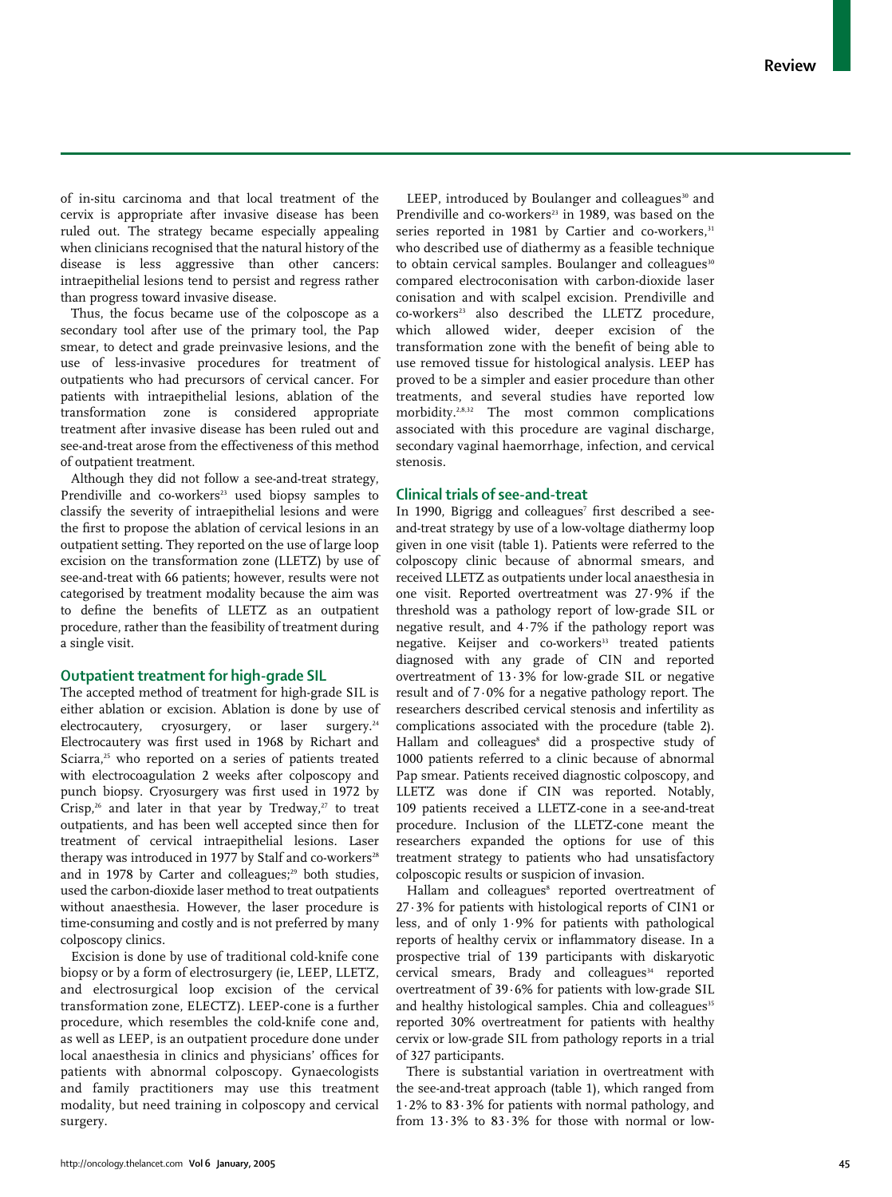of in-situ carcinoma and that local treatment of the cervix is appropriate after invasive disease has been ruled out. The strategy became especially appealing when clinicians recognised that the natural history of the disease is less aggressive than other cancers: intraepithelial lesions tend to persist and regress rather than progress toward invasive disease.

Thus, the focus became use of the colposcope as a secondary tool after use of the primary tool, the Pap smear, to detect and grade preinvasive lesions, and the use of less-invasive procedures for treatment of outpatients who had precursors of cervical cancer. For patients with intraepithelial lesions, ablation of the transformation zone is considered appropriate treatment after invasive disease has been ruled out and see-and-treat arose from the effectiveness of this method of outpatient treatment.

Although they did not follow a see-and-treat strategy, Prendiville and co-workers<sup>23</sup> used biopsy samples to classify the severity of intraepithelial lesions and were the first to propose the ablation of cervical lesions in an outpatient setting. They reported on the use of large loop excision on the transformation zone (LLETZ) by use of see-and-treat with 66 patients; however, results were not categorised by treatment modality because the aim was to define the benefits of LLETZ as an outpatient procedure, rather than the feasibility of treatment during a single visit.

## **Outpatient treatment for high-grade SIL**

The accepted method of treatment for high-grade SIL is either ablation or excision. Ablation is done by use of electrocautery, cryosurgery, or laser surgery.<sup>24</sup> Electrocautery was first used in 1968 by Richart and Sciarra,<sup>25</sup> who reported on a series of patients treated with electrocoagulation 2 weeks after colposcopy and punch biopsy. Cryosurgery was first used in 1972 by Crisp, $26$  and later in that year by Tredway, $27$  to treat outpatients, and has been well accepted since then for treatment of cervical intraepithelial lesions. Laser therapy was introduced in 1977 by Stalf and co-workers<sup>28</sup> and in 1978 by Carter and colleagues;<sup>29</sup> both studies, used the carbon-dioxide laser method to treat outpatients without anaesthesia. However, the laser procedure is time-consuming and costly and is not preferred by many colposcopy clinics.

Excision is done by use of traditional cold-knife cone biopsy or by a form of electrosurgery (ie, LEEP, LLETZ, and electrosurgical loop excision of the cervical transformation zone, ELECTZ). LEEP-cone is a further procedure, which resembles the cold-knife cone and, as well as LEEP, is an outpatient procedure done under local anaesthesia in clinics and physicians' offices for patients with abnormal colposcopy. Gynaecologists and family practitioners may use this treatment modality, but need training in colposcopy and cervical surgery.

LEEP, introduced by Boulanger and colleagues<sup>30</sup> and Prendiville and co-workers<sup>23</sup> in 1989, was based on the series reported in 1981 by Cartier and co-workers,<sup>31</sup> who described use of diathermy as a feasible technique to obtain cervical samples. Boulanger and colleagues<sup>30</sup> compared electroconisation with carbon-dioxide laser conisation and with scalpel excision. Prendiville and co-workers<sup>23</sup> also described the LLETZ procedure, which allowed wider, deeper excision of the transformation zone with the benefit of being able to use removed tissue for histological analysis. LEEP has proved to be a simpler and easier procedure than other treatments, and several studies have reported low morbidity.<sup>2,8,32</sup> The most common complications associated with this procedure are vaginal discharge, secondary vaginal haemorrhage, infection, and cervical stenosis.

# **Clinical trials of see-and-treat**

In 1990, Bigrigg and colleagues<sup>7</sup> first described a seeand-treat strategy by use of a low-voltage diathermy loop given in one visit (table 1). Patients were referred to the colposcopy clinic because of abnormal smears, and received LLETZ as outpatients under local anaesthesia in one visit. Reported overtreatment was 27·9% if the threshold was a pathology report of low-grade SIL or negative result, and 4·7% if the pathology report was negative. Keijser and co-workers<sup>33</sup> treated patients diagnosed with any grade of CIN and reported overtreatment of 13·3% for low-grade SIL or negative result and of 7·0% for a negative pathology report. The researchers described cervical stenosis and infertility as complications associated with the procedure (table 2). Hallam and colleagues<sup>8</sup> did a prospective study of 1000 patients referred to a clinic because of abnormal Pap smear. Patients received diagnostic colposcopy, and LLETZ was done if CIN was reported. Notably, 109 patients received a LLETZ-cone in a see-and-treat procedure. Inclusion of the LLETZ-cone meant the researchers expanded the options for use of this treatment strategy to patients who had unsatisfactory colposcopic results or suspicion of invasion.

Hallam and colleagues<sup>8</sup> reported overtreatment of 27·3% for patients with histological reports of CIN1 or less, and of only 1·9% for patients with pathological reports of healthy cervix or inflammatory disease. In a prospective trial of 139 participants with diskaryotic cervical smears, Brady and colleagues<sup>34</sup> reported overtreatment of 39·6% for patients with low-grade SIL and healthy histological samples. Chia and colleagues<sup>35</sup> reported 30% overtreatment for patients with healthy cervix or low-grade SIL from pathology reports in a trial of 327 participants.

There is substantial variation in overtreatment with the see-and-treat approach (table 1), which ranged from 1·2% to 83·3% for patients with normal pathology, and from 13·3% to 83·3% for those with normal or low-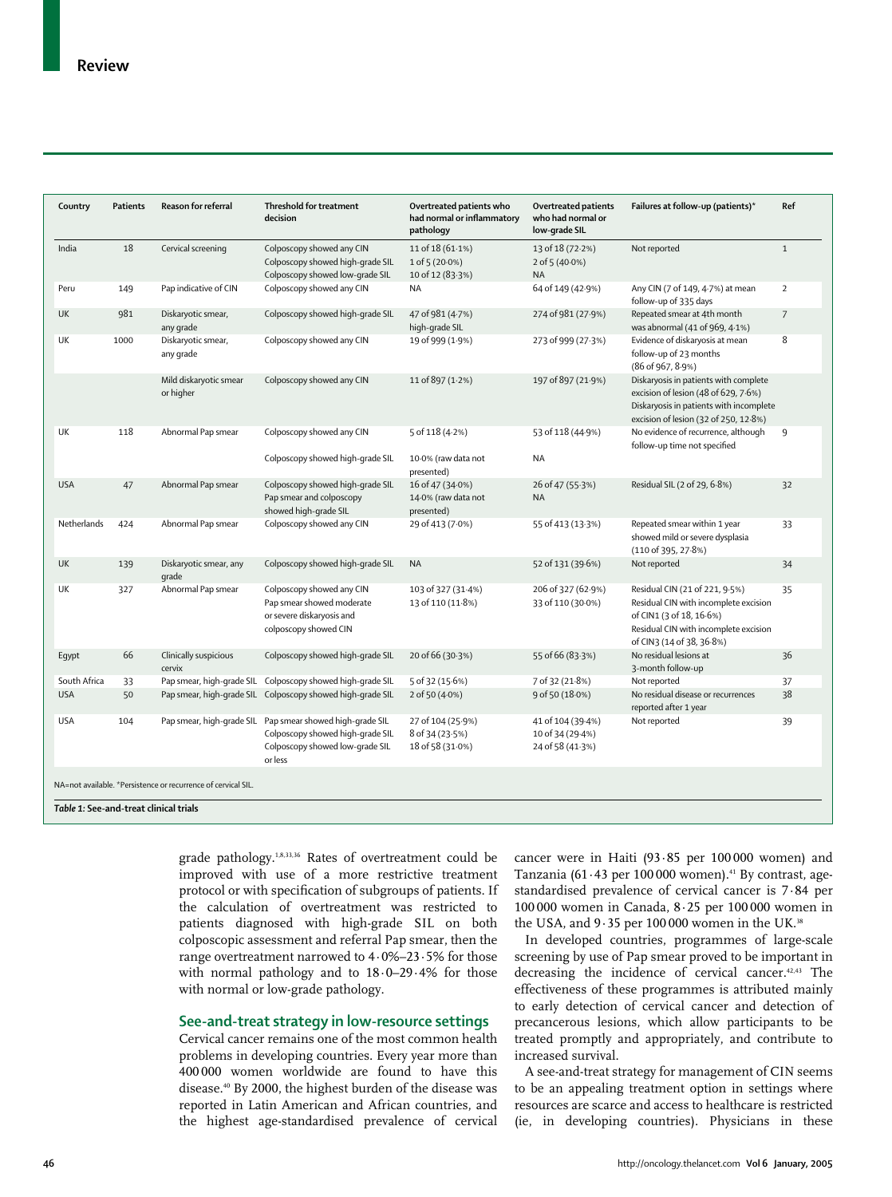|              | <b>Patients</b> | Reason for referral                 | Threshold for treatment<br>decision                                                                                              | Overtreated patients who<br>had normal or inflammatory<br>pathology | Overtreated patients<br>who had normal or<br>low-grade SIL | Failures at follow-up (patients)*                                                                                                                                 | Ref            |
|--------------|-----------------|-------------------------------------|----------------------------------------------------------------------------------------------------------------------------------|---------------------------------------------------------------------|------------------------------------------------------------|-------------------------------------------------------------------------------------------------------------------------------------------------------------------|----------------|
| India        | 18              | Cervical screening                  | Colposcopy showed any CIN<br>Colposcopy showed high-grade SIL<br>Colposcopy showed low-grade SIL                                 | 11 of 18 (61.1%)<br>1 of 5 (20.0%)<br>10 of 12 (83.3%)              | 13 of 18 (72.2%)<br>2 of $5(40.0\%)$<br><b>NA</b>          | Not reported                                                                                                                                                      | $\mathbf{1}$   |
| Peru         | 149             | Pap indicative of CIN               | Colposcopy showed any CIN                                                                                                        | NA                                                                  | 64 of 149 (42.9%)                                          | Any CIN (7 of 149, 4.7%) at mean<br>follow-up of 335 days                                                                                                         | $\overline{2}$ |
| UK           | 981             | Diskaryotic smear,<br>any grade     | Colposcopy showed high-grade SIL                                                                                                 | 47 of 981 (4.7%)<br>high-grade SIL                                  | 274 of 981 (27.9%)                                         | Repeated smear at 4th month<br>was abnormal (41 of 969, 4.1%)                                                                                                     | $\overline{7}$ |
| UK           | 1000            | Diskaryotic smear,<br>any grade     | Colposcopy showed any CIN                                                                                                        | 19 of 999 (1.9%)                                                    | 273 of 999 (27.3%)                                         | Evidence of diskaryosis at mean<br>follow-up of 23 months<br>(86 of 967, 8.9%)                                                                                    | 8              |
|              |                 | Mild diskaryotic smear<br>or higher | Colposcopy showed any CIN                                                                                                        | 11 of 897 (1.2%)                                                    | 197 of 897 (21.9%)                                         | Diskaryosis in patients with complete<br>excision of lesion (48 of 629, 7.6%)<br>Diskaryosis in patients with incomplete<br>excision of lesion (32 of 250, 12-8%) |                |
| UK           | 118             | Abnormal Pap smear                  | Colposcopy showed any CIN                                                                                                        | 5 of 118 (4.2%)                                                     | 53 of 118 (44.9%)                                          | No evidence of recurrence, although                                                                                                                               | 9              |
|              |                 |                                     | Colposcopy showed high-grade SIL                                                                                                 | 10.0% (raw data not<br>presented)                                   | <b>NA</b>                                                  | follow-up time not specified                                                                                                                                      |                |
| <b>USA</b>   | 47              | Abnormal Pap smear                  | Colposcopy showed high-grade SIL<br>Pap smear and colposcopy<br>showed high-grade SIL                                            | 16 of 47 (34.0%)<br>14.0% (raw data not<br>presented)               | 26 of 47 (55.3%)<br><b>NA</b>                              | Residual SIL (2 of 29, 6.8%)                                                                                                                                      | 32             |
| Netherlands  | 424             | Abnormal Pap smear                  | Colposcopy showed any CIN                                                                                                        | 29 of 413 (7.0%)                                                    | 55 of 413 (13.3%)                                          | Repeated smear within 1 year<br>showed mild or severe dysplasia<br>(110 of 395, 27.8%)                                                                            | 33             |
| UK           | 139             | Diskaryotic smear, any<br>grade     | Colposcopy showed high-grade SIL                                                                                                 | <b>NA</b>                                                           | 52 of 131 (39.6%)                                          | Not reported                                                                                                                                                      | 34             |
| UK           | 327             | Abnormal Pap smear                  | Colposcopy showed any CIN<br>Pap smear showed moderate<br>or severe diskaryosis and<br>colposcopy showed CIN                     | 103 of 327 (31.4%)<br>13 of 110 (11.8%)                             | 206 of 327 (62.9%)<br>33 of 110 (30.0%)                    | Residual CIN (21 of 221, 9.5%)<br>Residual CIN with incomplete excision<br>of CIN1 (3 of 18, 16.6%)<br>Residual CIN with incomplete excision                      | 35             |
|              |                 |                                     |                                                                                                                                  |                                                                     |                                                            | of CIN3 (14 of 38, 36-8%)                                                                                                                                         |                |
| Egypt        | 66              | Clinically suspicious<br>cervix     | Colposcopy showed high-grade SIL                                                                                                 | 20 of 66 (30.3%)                                                    | 55 of 66 (83.3%)                                           | No residual lesions at<br>3-month follow-up                                                                                                                       | 36             |
| South Africa | 33              |                                     | Pap smear, high-grade SIL Colposcopy showed high-grade SIL                                                                       | 5 of 32 (15.6%)                                                     | 7 of 32 (21.8%)                                            | Not reported                                                                                                                                                      | 37             |
| <b>USA</b>   | 50              |                                     | Pap smear, high-grade SIL Colposcopy showed high-grade SIL                                                                       | 2 of 50 (4.0%)                                                      | 9 of 50 (18.0%)                                            | No residual disease or recurrences<br>reported after 1 year                                                                                                       | 38             |
| <b>USA</b>   | 104             |                                     | Pap smear, high-grade SIL Pap smear showed high-grade SIL<br>Colposcopy showed high-grade SIL<br>Colposcopy showed low-grade SIL | 27 of 104 (25.9%)<br>8 of 34 (23.5%)<br>18 of 58 (31.0%)            | 41 of 104 (39.4%)<br>10 of 34 (29-4%)<br>24 of 58 (41.3%)  | Not reported                                                                                                                                                      | 39             |

grade pathology.1,8,33,36 Rates of overtreatment could be improved with use of a more restrictive treatment protocol or with specification of subgroups of patients. If the calculation of overtreatment was restricted to patients diagnosed with high-grade SIL on both colposcopic assessment and referral Pap smear, then the range overtreatment narrowed to 4·0%–23·5% for those with normal pathology and to  $18.0-29.4\%$  for those with normal or low-grade pathology.

## **See-and-treat strategy in low-resource settings**

Cervical cancer remains one of the most common health problems in developing countries. Every year more than 400 000 women worldwide are found to have this disease.<sup>40</sup> By 2000, the highest burden of the disease was reported in Latin American and African countries, and the highest age-standardised prevalence of cervical

cancer were in Haiti (93·85 per 100 000 women) and Tanzania (61 $\cdot$ 43 per 100 000 women).<sup>41</sup> By contrast, agestandardised prevalence of cervical cancer is 7·84 per 100 000 women in Canada, 8·25 per 100 000 women in the USA, and  $9.35$  per 100 000 women in the UK.<sup>38</sup>

In developed countries, programmes of large-scale screening by use of Pap smear proved to be important in decreasing the incidence of cervical cancer.42,43 The effectiveness of these programmes is attributed mainly to early detection of cervical cancer and detection of precancerous lesions, which allow participants to be treated promptly and appropriately, and contribute to increased survival.

A see-and-treat strategy for management of CIN seems to be an appealing treatment option in settings where resources are scarce and access to healthcare is restricted (ie, in developing countries). Physicians in these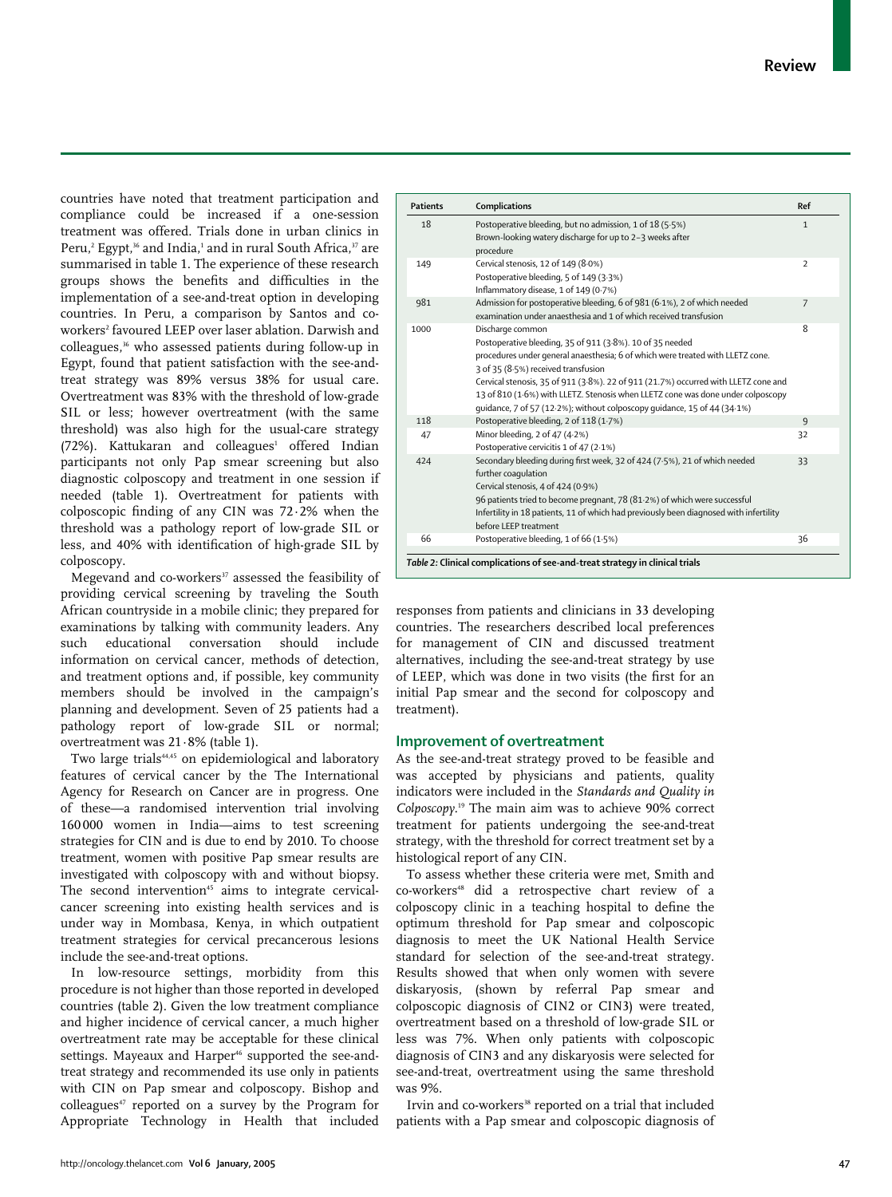countries have noted that treatment participation and compliance could be increased if a one-session treatment was offered. Trials done in urban clinics in Peru,<sup>2</sup> Egypt,<sup>36</sup> and India,<sup>1</sup> and in rural South Africa,<sup>37</sup> are summarised in table 1. The experience of these research groups shows the benefits and difficulties in the implementation of a see-and-treat option in developing countries. In Peru, a comparison by Santos and coworkers<sup>2</sup> favoured LEEP over laser ablation. Darwish and colleagues,<sup>36</sup> who assessed patients during follow-up in Egypt, found that patient satisfaction with the see-andtreat strategy was 89% versus 38% for usual care. Overtreatment was 83% with the threshold of low-grade SIL or less; however overtreatment (with the same threshold) was also high for the usual-care strategy (72%). Kattukaran and colleagues<sup>1</sup> offered Indian participants not only Pap smear screening but also diagnostic colposcopy and treatment in one session if needed (table 1). Overtreatment for patients with colposcopic finding of any CIN was 72·2% when the threshold was a pathology report of low-grade SIL or less, and 40% with identification of high-grade SIL by colposcopy.

Megevand and co-workers<sup>37</sup> assessed the feasibility of providing cervical screening by traveling the South African countryside in a mobile clinic; they prepared for examinations by talking with community leaders. Any such educational conversation should include information on cervical cancer, methods of detection, and treatment options and, if possible, key community members should be involved in the campaign's planning and development. Seven of 25 patients had a pathology report of low-grade SIL or normal; overtreatment was 21·8% (table 1).

Two large trials<sup>44,45</sup> on epidemiological and laboratory features of cervical cancer by the The International Agency for Research on Cancer are in progress. One of these—a randomised intervention trial involving 160 000 women in India—aims to test screening strategies for CIN and is due to end by 2010. To choose treatment, women with positive Pap smear results are investigated with colposcopy with and without biopsy. The second intervention<sup>45</sup> aims to integrate cervicalcancer screening into existing health services and is under way in Mombasa, Kenya, in which outpatient treatment strategies for cervical precancerous lesions include the see-and-treat options.

In low-resource settings, morbidity from this procedure is not higher than those reported in developed countries (table 2). Given the low treatment compliance and higher incidence of cervical cancer, a much higher overtreatment rate may be acceptable for these clinical settings. Mayeaux and Harper<sup>46</sup> supported the see-andtreat strategy and recommended its use only in patients with CIN on Pap smear and colposcopy. Bishop and colleagues<sup>47</sup> reported on a survey by the Program for Appropriate Technology in Health that included

| <b>Patients</b> | Complications                                                                                     | Ref            |  |
|-----------------|---------------------------------------------------------------------------------------------------|----------------|--|
| 18              | Postoperative bleeding, but no admission, 1 of 18 (5.5%)                                          |                |  |
|                 | Brown-looking watery discharge for up to 2-3 weeks after                                          |                |  |
|                 | procedure                                                                                         |                |  |
| 149             | Cervical stenosis, 12 of 149 (8.0%)                                                               | $\overline{2}$ |  |
|                 | Postoperative bleeding, 5 of 149 (3.3%)                                                           |                |  |
|                 | Inflammatory disease, 1 of 149 (0.7%)                                                             |                |  |
| 981             | Admission for postoperative bleeding, 6 of 981 (6-1%), 2 of which needed                          | $\overline{7}$ |  |
|                 | examination under anaesthesia and 1 of which received transfusion                                 |                |  |
| 1000            | Discharge common                                                                                  | 8              |  |
|                 | Postoperative bleeding, 35 of 911 (3.8%). 10 of 35 needed                                         |                |  |
|                 | procedures under general anaesthesia; 6 of which were treated with LLETZ cone.                    |                |  |
|                 | 3 of 35 (8.5%) received transfusion                                                               |                |  |
|                 | Cervical stenosis, 35 of 911 (3.8%). 22 of 911 (21.7%) occurred with LLETZ cone and               |                |  |
|                 | 13 of 810 (1.6%) with LLETZ. Stenosis when LLETZ cone was done under colposcopy                   |                |  |
|                 | quidance, 7 of 57 (12-2%); without colposcopy quidance, 15 of 44 (34-1%)                          |                |  |
| 118             | Postoperative bleeding, 2 of 118 (1.7%)                                                           | 9              |  |
| 47              | Minor bleeding, 2 of 47 (4-2%)                                                                    | 32             |  |
|                 | Postoperative cervicitis 1 of 47 (2.1%)                                                           |                |  |
| 424             | Secondary bleeding during first week, 32 of 424 (7.5%), 21 of which needed<br>further coaqulation | 33             |  |
|                 | Cervical stenosis, 4 of 424 (0.9%)                                                                |                |  |
|                 | 96 patients tried to become pregnant, 78 (81-2%) of which were successful                         |                |  |
|                 | Infertility in 18 patients, 11 of which had previously been diagnosed with infertility            |                |  |
|                 | before LEEP treatment                                                                             |                |  |
| 66              | Postoperative bleeding, 1 of 66 (1.5%)                                                            | 36             |  |

responses from patients and clinicians in 33 developing countries. The researchers described local preferences for management of CIN and discussed treatment alternatives, including the see-and-treat strategy by use of LEEP, which was done in two visits (the first for an initial Pap smear and the second for colposcopy and treatment).

#### **Improvement of overtreatment**

As the see-and-treat strategy proved to be feasible and was accepted by physicians and patients, quality indicators were included in the *Standards and Quality in Colposcopy.*<sup>19</sup> The main aim was to achieve 90% correct treatment for patients undergoing the see-and-treat strategy, with the threshold for correct treatment set by a histological report of any CIN.

To assess whether these criteria were met, Smith and co-workers<sup>48</sup> did a retrospective chart review of a colposcopy clinic in a teaching hospital to define the optimum threshold for Pap smear and colposcopic diagnosis to meet the UK National Health Service standard for selection of the see-and-treat strategy. Results showed that when only women with severe diskaryosis, (shown by referral Pap smear and colposcopic diagnosis of CIN2 or CIN3) were treated, overtreatment based on a threshold of low-grade SIL or less was 7%. When only patients with colposcopic diagnosis of CIN3 and any diskaryosis were selected for see-and-treat, overtreatment using the same threshold was 9%.

Irvin and co-workers<sup>38</sup> reported on a trial that included patients with a Pap smear and colposcopic diagnosis of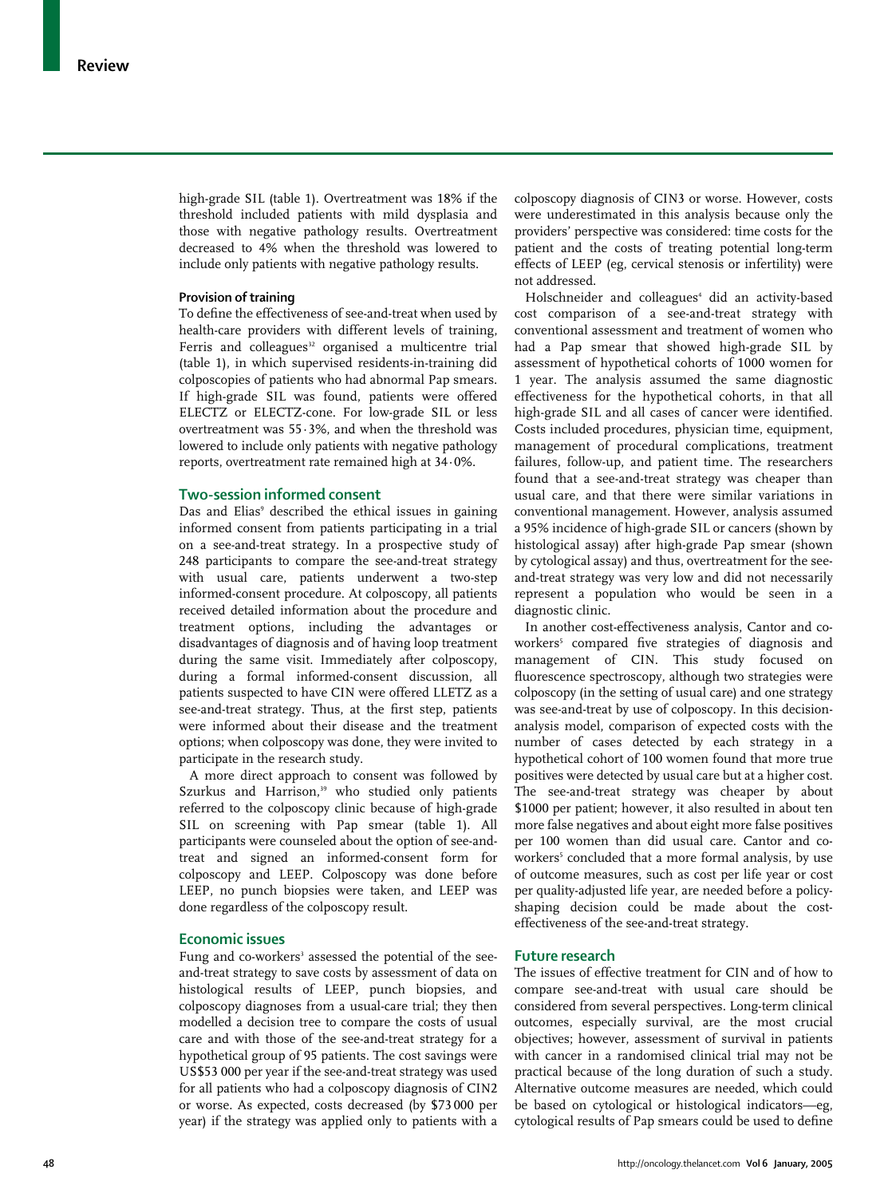high-grade SIL (table 1). Overtreatment was 18% if the threshold included patients with mild dysplasia and those with negative pathology results. Overtreatment decreased to 4% when the threshold was lowered to include only patients with negative pathology results.

### **Provision of training**

To define the effectiveness of see-and-treat when used by health-care providers with different levels of training, Ferris and colleagues<sup>32</sup> organised a multicentre trial (table 1), in which supervised residents-in-training did colposcopies of patients who had abnormal Pap smears. If high-grade SIL was found, patients were offered ELECTZ or ELECTZ-cone. For low-grade SIL or less overtreatment was 55·3%, and when the threshold was lowered to include only patients with negative pathology reports, overtreatment rate remained high at 34·0%.

## **Two-session informed consent**

Das and Elias<sup>9</sup> described the ethical issues in gaining informed consent from patients participating in a trial on a see-and-treat strategy. In a prospective study of 248 participants to compare the see-and-treat strategy with usual care, patients underwent a two-step informed-consent procedure. At colposcopy, all patients received detailed information about the procedure and treatment options, including the advantages or disadvantages of diagnosis and of having loop treatment during the same visit. Immediately after colposcopy, during a formal informed-consent discussion, all patients suspected to have CIN were offered LLETZ as a see-and-treat strategy. Thus, at the first step, patients were informed about their disease and the treatment options; when colposcopy was done, they were invited to participate in the research study.

A more direct approach to consent was followed by Szurkus and Harrison,<sup>39</sup> who studied only patients referred to the colposcopy clinic because of high-grade SIL on screening with Pap smear (table 1). All participants were counseled about the option of see-andtreat and signed an informed-consent form for colposcopy and LEEP. Colposcopy was done before LEEP, no punch biopsies were taken, and LEEP was done regardless of the colposcopy result.

# **Economic issues**

Fung and co-workers<sup>3</sup> assessed the potential of the seeand-treat strategy to save costs by assessment of data on histological results of LEEP, punch biopsies, and colposcopy diagnoses from a usual-care trial; they then modelled a decision tree to compare the costs of usual care and with those of the see-and-treat strategy for a hypothetical group of 95 patients. The cost savings were US\$53 000 per year if the see-and-treat strategy was used for all patients who had a colposcopy diagnosis of CIN2 or worse. As expected, costs decreased (by \$73 000 per year) if the strategy was applied only to patients with a

colposcopy diagnosis of CIN3 or worse. However, costs were underestimated in this analysis because only the providers' perspective was considered: time costs for the patient and the costs of treating potential long-term effects of LEEP (eg, cervical stenosis or infertility) were not addressed.

Holschneider and colleagues<sup>4</sup> did an activity-based cost comparison of a see-and-treat strategy with conventional assessment and treatment of women who had a Pap smear that showed high-grade SIL by assessment of hypothetical cohorts of 1000 women for 1 year. The analysis assumed the same diagnostic effectiveness for the hypothetical cohorts, in that all high-grade SIL and all cases of cancer were identified. Costs included procedures, physician time, equipment, management of procedural complications, treatment failures, follow-up, and patient time. The researchers found that a see-and-treat strategy was cheaper than usual care, and that there were similar variations in conventional management. However, analysis assumed a 95% incidence of high-grade SIL or cancers (shown by histological assay) after high-grade Pap smear (shown by cytological assay) and thus, overtreatment for the seeand-treat strategy was very low and did not necessarily represent a population who would be seen in a diagnostic clinic.

In another cost-effectiveness analysis, Cantor and coworkers<sup>5</sup> compared five strategies of diagnosis and management of CIN. This study focused on fluorescence spectroscopy, although two strategies were colposcopy (in the setting of usual care) and one strategy was see-and-treat by use of colposcopy. In this decisionanalysis model, comparison of expected costs with the number of cases detected by each strategy in a hypothetical cohort of 100 women found that more true positives were detected by usual care but at a higher cost. The see-and-treat strategy was cheaper by about \$1000 per patient; however, it also resulted in about ten more false negatives and about eight more false positives per 100 women than did usual care. Cantor and coworkers<sup>5</sup> concluded that a more formal analysis, by use of outcome measures, such as cost per life year or cost per quality-adjusted life year, are needed before a policyshaping decision could be made about the costeffectiveness of the see-and-treat strategy.

## **Future research**

The issues of effective treatment for CIN and of how to compare see-and-treat with usual care should be considered from several perspectives. Long-term clinical outcomes, especially survival, are the most crucial objectives; however, assessment of survival in patients with cancer in a randomised clinical trial may not be practical because of the long duration of such a study. Alternative outcome measures are needed, which could be based on cytological or histological indicators—eg, cytological results of Pap smears could be used to define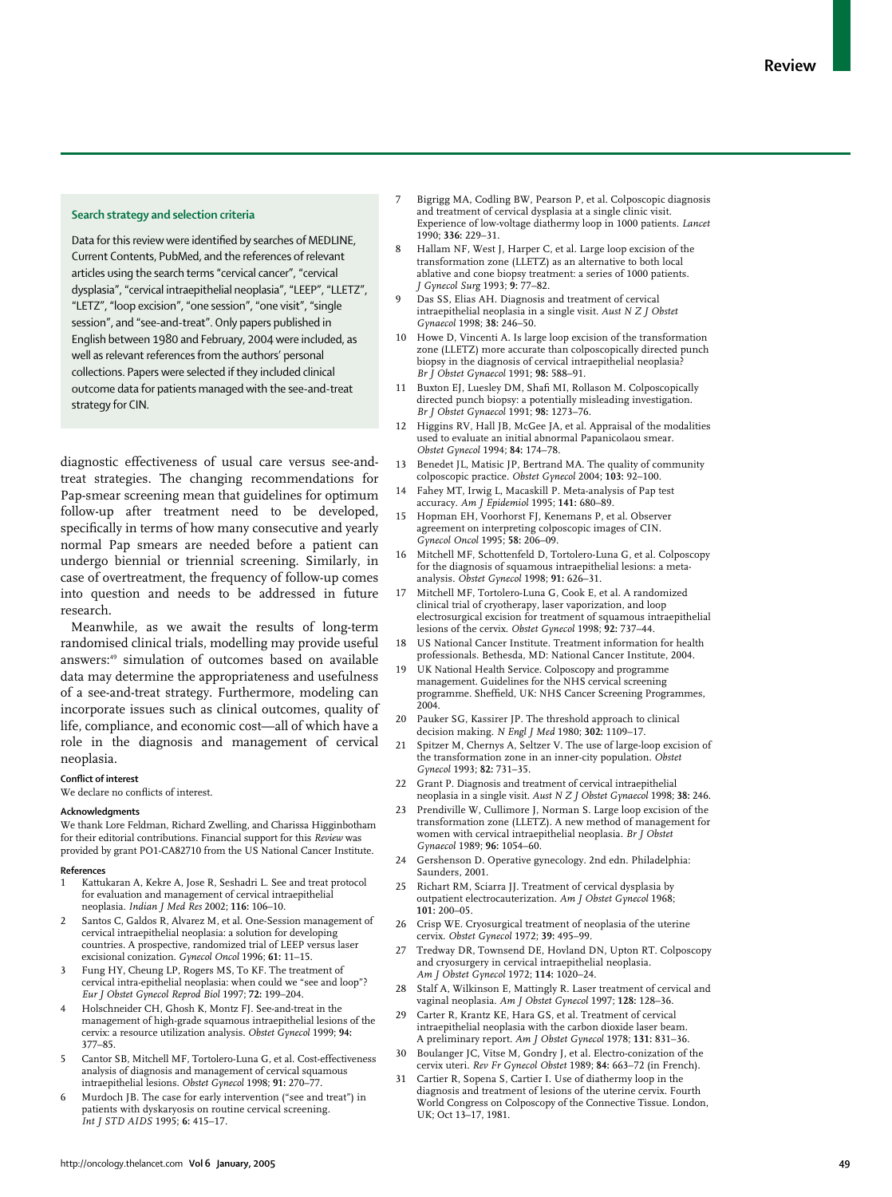#### **Search strategy and selection criteria**

Data for this review were identified by searches of MEDLINE, Current Contents, PubMed, and the references of relevant articles using the search terms "cervical cancer", "cervical dysplasia", "cervical intraepithelial neoplasia", "LEEP", "LLETZ", "LETZ", "loop excision", "one session", "one visit", "single session", and "see-and-treat". Only papers published in English between 1980 and February, 2004 were included, as well as relevant references from the authors' personal collections. Papers were selected if they included clinical outcome data for patients managed with the see-and-treat strategy for CIN.

diagnostic effectiveness of usual care versus see-andtreat strategies. The changing recommendations for Pap-smear screening mean that guidelines for optimum follow-up after treatment need to be developed, specifically in terms of how many consecutive and yearly normal Pap smears are needed before a patient can undergo biennial or triennial screening. Similarly, in case of overtreatment, the frequency of follow-up comes into question and needs to be addressed in future research.

Meanwhile, as we await the results of long-term randomised clinical trials, modelling may provide useful answers:49 simulation of outcomes based on available data may determine the appropriateness and usefulness of a see-and-treat strategy. Furthermore, modeling can incorporate issues such as clinical outcomes, quality of life, compliance, and economic cost—all of which have a role in the diagnosis and management of cervical neoplasia.

#### **Conflict of interest**

We declare no conflicts of interest.

#### **Acknowledgments**

We thank Lore Feldman, Richard Zwelling, and Charissa Higginbotham for their editorial contributions. Financial support for this *Review* was provided by grant PO1-CA82710 from the US National Cancer Institute.

#### **References**

- 1 Kattukaran A, Kekre A, Jose R, Seshadri L. See and treat protocol for evaluation and management of cervical intraepithelial neoplasia. *Indian J Med Res* 2002; **116:** 106–10.
- Santos C, Galdos R, Alvarez M, et al. One-Session management of cervical intraepithelial neoplasia: a solution for developing countries. A prospective, randomized trial of LEEP versus laser excisional conization. *Gynecol Oncol* 1996; **61:** 11–15.
- 3 Fung HY, Cheung LP, Rogers MS, To KF. The treatment of cervical intra-epithelial neoplasia: when could we "see and loop"? *Eur J Obstet Gynecol Reprod Biol* 1997; **72:** 199–204.
- 4 Holschneider CH, Ghosh K, Montz FJ. See-and-treat in the management of high-grade squamous intraepithelial lesions of the cervix: a resource utilization analysis. *Obstet Gynecol* 1999; **94:** 377–85.
- 5 Cantor SB, Mitchell MF, Tortolero-Luna G, et al. Cost-effectiveness analysis of diagnosis and management of cervical squamous intraepithelial lesions. *Obstet Gynecol* 1998; **91:** 270–77.
- Murdoch JB. The case for early intervention ("see and treat") in patients with dyskaryosis on routine cervical screening. *Int J STDAIDS* 1995; **6:** 415–17.
- 7 Bigrigg MA, Codling BW, Pearson P, et al. Colposcopic diagnosis and treatment of cervical dysplasia at a single clinic visit. Experience of low-voltage diathermy loop in 1000 patients. *Lancet* 1990; **336:** 229–31.
- 8 Hallam NF, West J, Harper C, et al. Large loop excision of the transformation zone (LLETZ) as an alternative to both local ablative and cone biopsy treatment: a series of 1000 patients. *J Gynecol Surg* 1993; **9:** 77–82.
- Das SS, Elias AH. Diagnosis and treatment of cervical intraepithelial neoplasia in a single visit. *Aust N Z J Obstet Gynaecol* 1998; **38:** 246–50.
- 10 Howe D, Vincenti A. Is large loop excision of the transformation zone (LLETZ) more accurate than colposcopically directed punch biopsy in the diagnosis of cervical intraepithelial neoplasia? *Br J Obstet Gynaecol* 1991; **98:** 588–91.
- 11 Buxton EJ, Luesley DM, Shafi MI, Rollason M. Colposcopically directed punch biopsy: a potentially misleading investigation. *Br J Obstet Gynaecol* 1991; **98:** 1273–76.
- 12 Higgins RV, Hall JB, McGee JA, et al. Appraisal of the modalities used to evaluate an initial abnormal Papanicolaou smear. *Obstet Gynecol* 1994; **84:** 174–78.
- 13 Benedet JL, Matisic JP, Bertrand MA. The quality of community colposcopic practice. *Obstet Gynecol* 2004; **103:** 92–100.
- Fahey MT, Irwig L, Macaskill P. Meta-analysis of Pap test accuracy. *Am J Epidemiol* 1995; **141:** 680–89.
- 15 Hopman EH, Voorhorst FJ, Kenemans P, et al. Observer agreement on interpreting colposcopic images of CIN. *Gynecol Oncol* 1995; **58:** 206–09.
- Mitchell MF, Schottenfeld D, Tortolero-Luna G, et al. Colposcopy for the diagnosis of squamous intraepithelial lesions: a metaanalysis. *Obstet Gynecol* 1998; **91:** 626–31.
- 17 Mitchell MF, Tortolero-Luna G, Cook E, et al. A randomized clinical trial of cryotherapy, laser vaporization, and loop electrosurgical excision for treatment of squamous intraepithelial lesions of the cervix. *Obstet Gynecol* 1998; **92:** 737–44.
- 18 US National Cancer Institute. Treatment information for health professionals. Bethesda, MD: National Cancer Institute, 2004.
- UK National Health Service. Colposcopy and programme management. Guidelines for the NHS cervical screening programme. Sheffield, UK: NHS Cancer Screening Programmes, 2004.
- 20 Pauker SG, Kassirer JP. The threshold approach to clinical decision making. *N Engl J Med* 1980; **302:** 1109–17.
- 21 Spitzer M, Chernys A, Seltzer V. The use of large-loop excision of the transformation zone in an inner-city population. *Obstet Gynecol* 1993; **82:** 731–35.
- 22 Grant P. Diagnosis and treatment of cervical intraepithelial neoplasia in a single visit. *Aust N Z J Obstet Gynaecol* 1998; **38:** 246.
- Prendiville W, Cullimore J, Norman S. Large loop excision of the transformation zone (LLETZ). A new method of management for women with cervical intraepithelial neoplasia. *Br J Obstet Gynaecol* 1989; **96:** 1054–60.
- 24 Gershenson D. Operative gynecology. 2nd edn. Philadelphia: Saunders, 2001.
- 25 Richart RM, Sciarra JJ. Treatment of cervical dysplasia by outpatient electrocauterization. *Am J Obstet Gynecol* 1968; **101:** 200–05.
- 26 Crisp WE. Cryosurgical treatment of neoplasia of the uterine cervix. *Obstet Gynecol* 1972; **39:** 495–99.
- 27 Tredway DR, Townsend DE, Hovland DN, Upton RT. Colposcopy and cryosurgery in cervical intraepithelial neoplasia. *Am J Obstet Gynecol* 1972; **114:** 1020–24.
- 28 Stalf A, Wilkinson E, Mattingly R. Laser treatment of cervical and vaginal neoplasia. *Am J Obstet Gynecol* 1997; **128:** 128–36.
- 29 Carter R, Krantz KE, Hara GS, et al. Treatment of cervical intraepithelial neoplasia with the carbon dioxide laser beam. A preliminary report. *Am J Obstet Gynecol* 1978; **131:** 831–36.
- Boulanger JC, Vitse M, Gondry J, et al. Electro-conization of the cervix uteri. *Rev Fr Gynecol Obstet* 1989; **84:** 663–72 (in French).
- 31 Cartier R, Sopena S, Cartier I. Use of diathermy loop in the diagnosis and treatment of lesions of the uterine cervix. Fourth World Congress on Colposcopy of the Connective Tissue. London, UK; Oct 13–17, 1981.